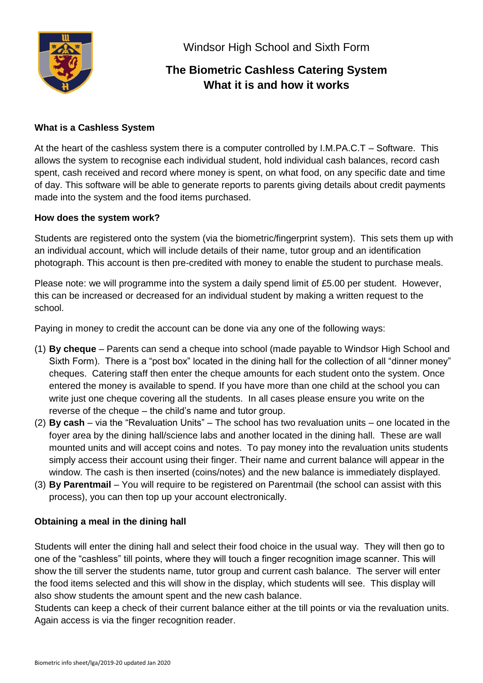

Windsor High School and Sixth Form

# **The Biometric Cashless Catering System What it is and how it works**

## **What is a Cashless System**

At the heart of the cashless system there is a computer controlled by I.M.PA.C.T – Software. This allows the system to recognise each individual student, hold individual cash balances, record cash spent, cash received and record where money is spent, on what food, on any specific date and time of day. This software will be able to generate reports to parents giving details about credit payments made into the system and the food items purchased.

## **How does the system work?**

Students are registered onto the system (via the biometric/fingerprint system). This sets them up with an individual account, which will include details of their name, tutor group and an identification photograph. This account is then pre-credited with money to enable the student to purchase meals.

Please note: we will programme into the system a daily spend limit of £5.00 per student. However, this can be increased or decreased for an individual student by making a written request to the school.

Paying in money to credit the account can be done via any one of the following ways:

- (1) **By cheque** Parents can send a cheque into school (made payable to Windsor High School and Sixth Form). There is a "post box" located in the dining hall for the collection of all "dinner money" cheques. Catering staff then enter the cheque amounts for each student onto the system. Once entered the money is available to spend. If you have more than one child at the school you can write just one cheque covering all the students. In all cases please ensure you write on the reverse of the cheque – the child's name and tutor group.
- (2) **By cash** via the "Revaluation Units" The school has two revaluation units one located in the foyer area by the dining hall/science labs and another located in the dining hall. These are wall mounted units and will accept coins and notes. To pay money into the revaluation units students simply access their account using their finger. Their name and current balance will appear in the window. The cash is then inserted (coins/notes) and the new balance is immediately displayed.
- (3) **By Parentmail**  You will require to be registered on Parentmail (the school can assist with this process), you can then top up your account electronically.

## **Obtaining a meal in the dining hall**

Students will enter the dining hall and select their food choice in the usual way. They will then go to one of the "cashless" till points, where they will touch a finger recognition image scanner. This will show the till server the students name, tutor group and current cash balance. The server will enter the food items selected and this will show in the display, which students will see. This display will also show students the amount spent and the new cash balance.

Students can keep a check of their current balance either at the till points or via the revaluation units. Again access is via the finger recognition reader.